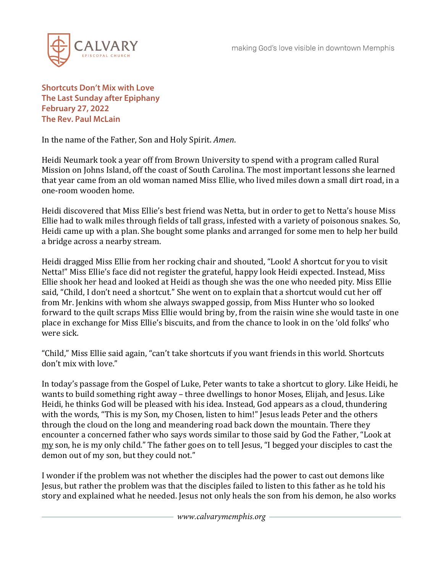

**Shortcuts Don't Mix with Love The Last Sunday after Epiphany February 27, 2022 The Rev. Paul McLain**

In the name of the Father, Son and Holy Spirit. *Amen*.

Heidi Neumark took a year off from Brown University to spend with a program called Rural Mission on Johns Island, off the coast of South Carolina. The most important lessons she learned that year came from an old woman named Miss Ellie, who lived miles down a small dirt road, in a one-room wooden home.

Heidi discovered that Miss Ellie's best friend was Netta, but in order to get to Netta's house Miss Ellie had to walk miles through fields of tall grass, infested with a variety of poisonous snakes. So, Heidi came up with a plan. She bought some planks and arranged for some men to help her build a bridge across a nearby stream.

Heidi dragged Miss Ellie from her rocking chair and shouted, "Look! A shortcut for you to visit Netta!" Miss Ellie's face did not register the grateful, happy look Heidi expected. Instead, Miss Ellie shook her head and looked at Heidi as though she was the one who needed pity. Miss Ellie said, "Child, I don't need a shortcut." She went on to explain that a shortcut would cut her off from Mr. Jenkins with whom she always swapped gossip, from Miss Hunter who so looked forward to the quilt scraps Miss Ellie would bring by, from the raisin wine she would taste in one place in exchange for Miss Ellie's biscuits, and from the chance to look in on the 'old folks' who were sick.

"Child," Miss Ellie said again, "can't take shortcuts if you want friends in this world. Shortcuts don't mix with love."

In today's passage from the Gospel of Luke, Peter wants to take a shortcut to glory. Like Heidi, he wants to build something right away – three dwellings to honor Moses, Elijah, and Jesus. Like Heidi, he thinks God will be pleased with his idea. Instead, God appears as a cloud, thundering with the words, "This is my Son, my Chosen, listen to him!" Jesus leads Peter and the others through the cloud on the long and meandering road back down the mountain. There they encounter a concerned father who says words similar to those said by God the Father, "Look at my son, he is my only child." The father goes on to tell Jesus, "I begged your disciples to cast the demon out of my son, but they could not."

I wonder if the problem was not whether the disciples had the power to cast out demons like Jesus, but rather the problem was that the disciples failed to listen to this father as he told his story and explained what he needed. Jesus not only heals the son from his demon, he also works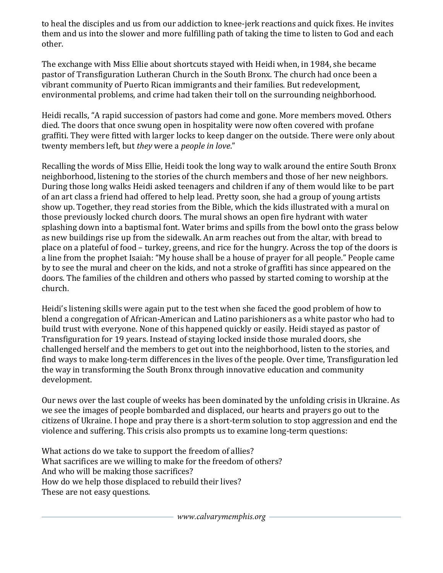to heal the disciples and us from our addiction to knee-jerk reactions and quick fixes. He invites them and us into the slower and more fulfilling path of taking the time to listen to God and each other.

The exchange with Miss Ellie about shortcuts staved with Heidi when, in 1984, she became pastor of Transfiguration Lutheran Church in the South Bronx. The church had once been a vibrant community of Puerto Rican immigrants and their families. But redevelopment, environmental problems, and crime had taken their toll on the surrounding neighborhood.

Heidi recalls, "A rapid succession of pastors had come and gone. More members moved. Others died. The doors that once swung open in hospitality were now often covered with profane graffiti. They were fitted with larger locks to keep danger on the outside. There were only about twenty members left, but *they* were a *people in love*."

Recalling the words of Miss Ellie, Heidi took the long way to walk around the entire South Bronx neighborhood, listening to the stories of the church members and those of her new neighbors. During those long walks Heidi asked teenagers and children if any of them would like to be part of an art class a friend had offered to help lead. Pretty soon, she had a group of young artists show up. Together, they read stories from the Bible, which the kids illustrated with a mural on those previously locked church doors. The mural shows an open fire hydrant with water splashing down into a baptismal font. Water brims and spills from the bowl onto the grass below as new buildings rise up from the sidewalk. An arm reaches out from the altar, with bread to place on a plateful of food – turkey, greens, and rice for the hungry. Across the top of the doors is a line from the prophet Isaiah: "My house shall be a house of prayer for all people." People came by to see the mural and cheer on the kids, and not a stroke of graffiti has since appeared on the doors. The families of the children and others who passed by started coming to worship at the church.

Heidi's listening skills were again put to the test when she faced the good problem of how to blend a congregation of African-American and Latino parishioners as a white pastor who had to build trust with everyone. None of this happened quickly or easily. Heidi stayed as pastor of Transfiguration for 19 years. Instead of staying locked inside those muraled doors, she challenged herself and the members to get out into the neighborhood, listen to the stories, and find ways to make long-term differences in the lives of the people. Over time, Transfiguration led the way in transforming the South Bronx through innovative education and community development.

Our news over the last couple of weeks has been dominated by the unfolding crisis in Ukraine. As we see the images of people bombarded and displaced, our hearts and prayers go out to the citizens of Ukraine. I hope and pray there is a short-term solution to stop aggression and end the violence and suffering. This crisis also prompts us to examine long-term questions:

What actions do we take to support the freedom of allies? What sacrifices are we willing to make for the freedom of others? And who will be making those sacrifices? How do we help those displaced to rebuild their lives? These are not easy questions.

*www.calvarymemphis.org*